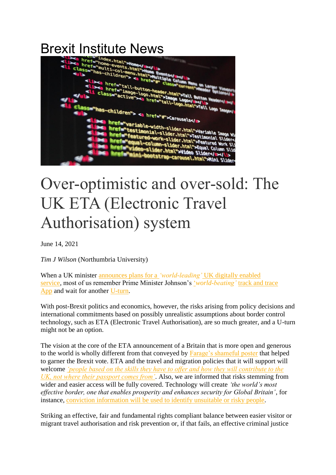

## Over-optimistic and over-sold: The UK ETA (Electronic Travel Authorisation) system

June 14, 2021

*Tim J Wilson* (Northumbria University)

When a UK minister [announces plans for a](https://hansard.parliament.uk/Commons/2021-05-24/debates/21052448000012/NewPlanForImmigrationLegalMigrationAndBorderControl?highlight=legal%20migration%20border%20control%20strategy%20statement#contribution-B6A114E3-292F-494C-96B6-58AE9D6497F6) *'world-leading'* UK digitally enabled [service](https://hansard.parliament.uk/Commons/2021-05-24/debates/21052448000012/NewPlanForImmigrationLegalMigrationAndBorderControl?highlight=legal%20migration%20border%20control%20strategy%20statement#contribution-B6A114E3-292F-494C-96B6-58AE9D6497F6)*,* most of us remember Prime Minister Johnson's '*world-beating'* [track and trace](https://www.euronews.com/2020/07/15/uk-prime-minister-boris-johnson-faces-questions-at-pmqs)  [App](https://www.euronews.com/2020/07/15/uk-prime-minister-boris-johnson-faces-questions-at-pmqs) and wait for another [U-turn.](https://www.bbc.com/news/technology-53095336)

With post-Brexit politics and economics, however, the risks arising from policy decisions and international commitments based on possibly unrealistic assumptions about border control technology, such as ETA (Electronic Travel Authorisation), are so much greater, and a U-turn might not be an option.

The vision at the core of the ETA announcement of a Britain that is more open and generous to the world is wholly different from that conveyed by [Farage's shameful poster](https://www.huffingtonpost.co.uk/entry/nigel-farages-eu-has-failed-us-all-poster-slammed-as-disgusting-by-nicola-sturgeon_uk_576288c0e4b08b9e3abdc483) that helped to garner the Brexit vote. ETA and the travel and migration policies that it will support will welcome *['people based on the skills they have to offer and how they will contribute to the](https://assets.publishing.service.gov.uk/government/uploads/system/uploads/attachment_data/file/988518/FBIS_Strategy_Statement_-_Web_accessible.pdf)  [UK, not where their passport comes from'](https://assets.publishing.service.gov.uk/government/uploads/system/uploads/attachment_data/file/988518/FBIS_Strategy_Statement_-_Web_accessible.pdf)*. Also, we are informed that risks stemming from wider and easier access will be fully covered. Technology will create *'the world's most effective border, one that enables prosperity and enhances security for Global Britain'*, for instance, [conviction information will be used to identify unsuitable or risky people](https://assets.publishing.service.gov.uk/government/uploads/system/uploads/attachment_data/file/988518/FBIS_Strategy_Statement_-_Web_accessible.pdf)*.*

Striking an effective, fair and fundamental rights compliant balance between easier visitor or migrant travel authorisation and risk prevention or, if that fails, an effective criminal justice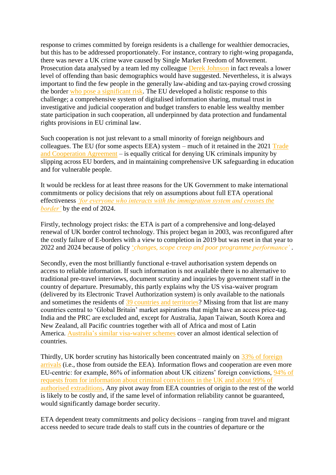response to crimes committed by foreign residents is a challenge for wealthier democracies, but this has to be addressed proportionately. For instance, contrary to right-wing propaganda, there was never a UK crime wave caused by Single Market Freedom of Movement. Prosecution data analysed by a team led my colleague [Derek Johnson](https://researchportal.northumbria.ac.uk/en/publications/the-pr%C3%BCm-implementation-evaluation-and-strengthening-pies-of-fore) in fact reveals a lower level of offending than basic demographics would have suggested. Nevertheless, it is always important to find the few people in the generally law-abiding and tax-paying crowd crossing the border [who pose a significant risk.](http://data.parliament.uk/WrittenEvidence/CommitteeEvidence.svc/EvidenceDocument/Justice/Implications%20of%20Brexit%20for%20the%20justice%20system/written/43268.html) The EU developed a holistic response to this challenge; a comprehensive system of digitalised information sharing, mutual trust in investigative and judicial cooperation and budget transfers to enable less wealthy member state participation in such cooperation, all underpinned by data protection and fundamental rights provisions in EU criminal law*.*

Such cooperation is not just relevant to a small minority of foreign neighbours and colleagues. The EU (for some aspects EEA) system – much of it retained in the 2021 [Trade](https://doi.org/10.1016/j.fsisyn.2021.100144)  [and Cooperation Agreement](https://doi.org/10.1016/j.fsisyn.2021.100144) – is equally critical for denying UK criminals impunity by slipping across EU borders, and in maintaining comprehensive UK safeguarding in education and for vulnerable people.

It would be reckless for at least three reasons for the UK Government to make international commitments or policy decisions that rely on assumptions about full ETA operational effectiveness *['for everyone who interacts with the immigration system and crosses the](https://assets.publishing.service.gov.uk/government/uploads/system/uploads/attachment_data/file/988518/FBIS_Strategy_Statement_-_Web_accessible.pdf)  [border'](https://assets.publishing.service.gov.uk/government/uploads/system/uploads/attachment_data/file/988518/FBIS_Strategy_Statement_-_Web_accessible.pdf)* by the end of 2024.

Firstly, technology project risks: the ETA is part of a comprehensive and long-delayed renewal of UK border control technology. This project began in 2003, was reconfigured after the costly failure of E-borders with a view to completion in 2019 but was reset in that year to 2022 and 2024 because of policy '*[changes, scope creep and poor programme](https://www.nao.org.uk/wp-content/uploads/2020/12/Digital-Services-at-the-Border.pdf) performance' .*

Secondly, even the most brilliantly functional e-travel authorisation system depends on access to reliable information. If such information is not available there is no alternative to traditional pre-travel interviews, document scrutiny and inquiries by government staff in the country of departure. Presumably, this partly explains why the US visa-waiver program (delivered by its Electronic Travel Authorization system) is only available to the nationals and sometimes the residents of [39 countries and territories?](https://www.dhs.gov/visa-waiver-program-requirements) Missing from that list are many countries central to 'Global Britain' market aspirations that might have an access price-tag. India and the PRC are excluded and, except for Australia, Japan Taiwan, South Korea and New Zealand, all Pacific countries together with all of Africa and most of Latin America*.* [Australia's similar visa-waiver schemes](https://www.travelandvisa.com/index.php/australia) cover an almost identical selection of countries.

Thirdly, UK border scrutiny has historically been concentrated mainly on [33% of foreign](https://www.gov.uk/government/statistics/immigration-statistics-year-ending-june-2020/how-many-people-come-to-the-uk-each-year-including-visitors#passenger-arrivals-to-the-uk)  [arrivals](https://www.gov.uk/government/statistics/immigration-statistics-year-ending-june-2020/how-many-people-come-to-the-uk-each-year-including-visitors#passenger-arrivals-to-the-uk) (i.e., those from outside the EEA)*.* Information flows and cooperation are even more EU-centric: for example, 86% of information about UK citizens' foreign convictions, [94% of](https://www.acro.police.uk/ACRO/media/ACRO-Library/ACRO-Annual-Report-2019-20.pdf)  [requests from for information about criminal convictions in the UK and about 99% of](https://www.acro.police.uk/ACRO/media/ACRO-Library/ACRO-Annual-Report-2019-20.pdf)  [authorised extraditions](https://www.acro.police.uk/ACRO/media/ACRO-Library/ACRO-Annual-Report-2019-20.pdf)*.* Any pivot away from EEA countries of origin to the rest of the world is likely to be costly and, if the same level of information reliability cannot be guaranteed, would significantly damage border security.

ETA dependent treaty commitments and policy decisions – ranging from travel and migrant access needed to secure trade deals to staff cuts in the countries of departure or the